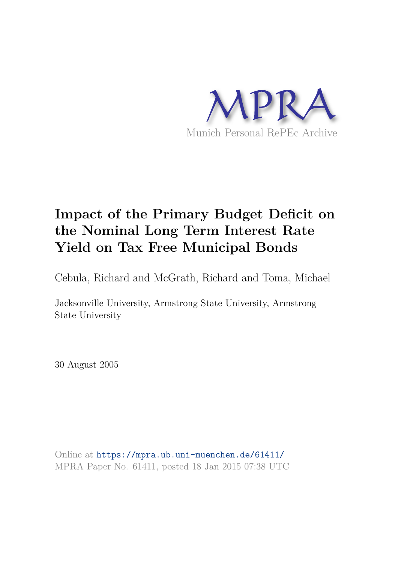

# **Impact of the Primary Budget Deficit on the Nominal Long Term Interest Rate Yield on Tax Free Municipal Bonds**

Cebula, Richard and McGrath, Richard and Toma, Michael

Jacksonville University, Armstrong State University, Armstrong State University

30 August 2005

Online at https://mpra.ub.uni-muenchen.de/61411/ MPRA Paper No. 61411, posted 18 Jan 2015 07:38 UTC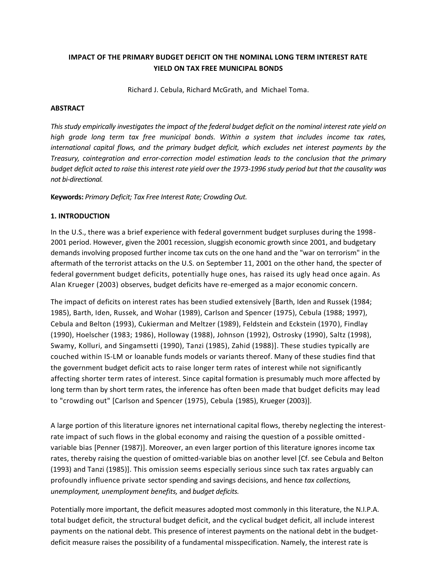## **IMPACT OF THE PRIMARY BUDGET DEFICIT ON THE NOMINAL LONG TERM INTEREST RATE YIELD ON TAX FREE MUNICIPAL BONDS**

Richard J. Cebula, Richard McGrath, and Michael Toma.

#### **ABSTRACT**

*This study empirically investigates the impact of the federal budget deficit on the nominal interest rate yield on high grade long term tax free municipal bonds. Within a system that includes income tax rates, international capital flows, and the primary budget deficit, which excludes net interest payments by the Treasury, cointegration and error-correction model estimation leads to the conclusion that the primary budget deficit acted to raise this interest rate yield over the 1973-1996 study period but that the causality was not bi-directional.* 

**Keywords:** *Primary Deficit; Tax Free Interest Rate; Crowding Out.*

## **1. INTRODUCTION**

In the U.S., there was a brief experience with federal government budget surpluses during the 1998- 2001 period. However, given the 2001 recession, sluggish economic growth since 2001, and budgetary demands involving proposed further income tax cuts on the one hand and the "war on terrorism" in the aftermath of the terrorist attacks on the U.S. on September 11, 2001 on the other hand, the specter of federal government budget deficits, potentially huge ones, has raised its ugly head once again. As Alan Krueger (2003) observes, budget deficits have re-emerged as a major economic concern.

The impact of deficits on interest rates has been studied extensively [Barth, Iden and Russek (1984; 1985), Barth, Iden, Russek, and Wohar (1989), Carlson and Spencer (1975), Cebula (1988; 1997), Cebula and Belton (1993), Cukierman and Meltzer (1989), Feldstein and Eckstein (1970), Findlay (1990), Hoelscher (1983; 1986), Holloway (1988), Johnson (1992), Ostrosky (1990), Saltz (1998), Swamy, Kolluri, and Singamsetti (1990), Tanzi (1985), Zahid (1988)]. These studies typically are couched within IS-LM or loanable funds models or variants thereof. Many of these studies find that the government budget deficit acts to raise longer term rates of interest while not significantly affecting shorter term rates of interest. Since capital formation is presumably much more affected by long term than by short term rates, the inference has often been made that budget deficits may lead to "crowding out" [Carlson and Spencer (1975), Cebula (1985), Krueger (2003)].

A large portion of this literature ignores net international capital flows, thereby neglecting the interestrate impact of such flows in the global economy and raising the question of a possible omitted variable bias [Penner (1987)]. Moreover, an even larger portion of this literature ignores income tax rates, thereby raising the question of omitted-variable bias on another level [Cf. see Cebula and Belton (1993) and Tanzi (1985)]. This omission seems especially serious since such tax rates arguably can profoundly influence private sector spending and savings decisions, and hence *tax collections, unemployment, unemployment benefits,* and *budget deficits.*

Potentially more important, the deficit measures adopted most commonly in this literature, the N.I.P.A. total budget deficit, the structural budget deficit, and the cyclical budget deficit, all include interest payments on the national debt. This presence of interest payments on the national debt in the budgetdeficit measure raises the possibility of a fundamental misspecification. Namely, the interest rate is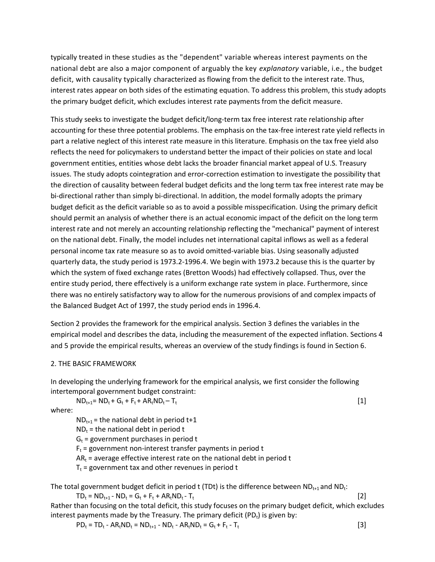typically treated in these studies as the "dependent" variable whereas interest payments on the national debt are also a major component of arguably the key *explanatory* variable, i.e., the budget deficit, with causality typically characterized as flowing from the deficit to the interest rate. Thus, interest rates appear on both sides of the estimating equation. To address this problem, this study adopts the primary budget deficit, which excludes interest rate payments from the deficit measure.

This study seeks to investigate the budget deficit/long-term tax free interest rate relationship after accounting for these three potential problems. The emphasis on the tax-free interest rate yield reflects in part a relative neglect of this interest rate measure in this literature. Emphasis on the tax free yield also reflects the need for policymakers to understand better the impact of their policies on state and local government entities, entities whose debt lacks the broader financial market appeal of U.S. Treasury issues. The study adopts cointegration and error-correction estimation to investigate the possibility that the direction of causality between federal budget deficits and the long term tax free interest rate may be bi-directional rather than simply bi-directional. In addition, the model formally adopts the primary budget deficit as the deficit variable so as to avoid a possible misspecification. Using the primary deficit should permit an analysis of whether there is an actual economic impact of the deficit on the long term interest rate and not merely an accounting relationship reflecting the "mechanical" payment of interest on the national debt. Finally, the model includes net international capital inflows as well as a federal personal income tax rate measure so as to avoid omitted-variable bias. Using seasonally adjusted quarterly data, the study period is 1973.2-1996.4. We begin with 1973.2 because this is the quarter by which the system of fixed exchange rates (Bretton Woods) had effectively collapsed. Thus, over the entire study period, there effectively is a uniform exchange rate system in place. Furthermore, since there was no entirely satisfactory way to allow for the numerous provisions of and complex impacts of the Balanced Budget Act of 1997, the study period ends in 1996.4.

Section 2 provides the framework for the empirical analysis. Section 3 defines the variables in the empirical model and describes the data, including the measurement of the expected inflation. Sections 4 and 5 provide the empirical results, whereas an overview of the study findings is found in Section 6.

#### 2. THE BASIC FRAMEWORK

In developing the underlying framework for the empirical analysis, we first consider the following intertemporal government budget constraint:

 $ND_{t+1}= ND_t + G_t + F_t + AR_t ND_t - T_t$ 

 $[1]$ 

where:

 $ND_{t+1}$  = the national debt in period t+1

 $ND_t$  = the national debt in period t

 $G_t$  = government purchases in period t

 $F_t$  = government non-interest transfer payments in period t

 $AR<sub>t</sub>$  = average effective interest rate on the national debt in period t

 $T_t$  = government tax and other revenues in period t

The total government budget deficit in period t (TDt) is the difference between  $ND_{t+1}$  and  $ND_t$ :

 $TD_t = ND_{t+1} - ND_t = G_t + F_t + AR_t ND_t - T_t$  $[2]$ Rather than focusing on the total deficit, this study focuses on the primary budget deficit, which excludes interest payments made by the Treasury. The primary deficit (PD $<sub>t</sub>$ ) is given by:</sub>

 $PD_t = TD_t - AR_tND_t = ND_{t+1} - ND_t - AR_tND_t = G_t + F_t - T_t$  $[3]$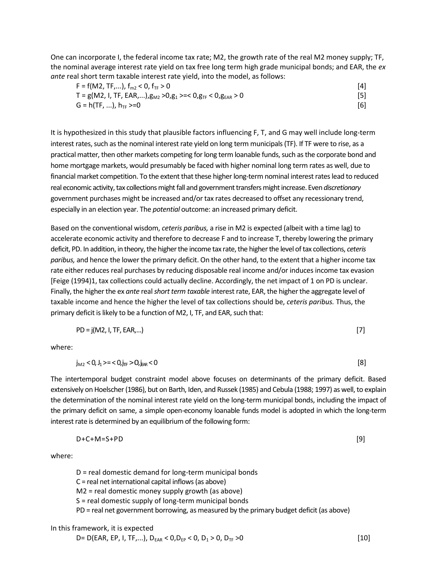One can incorporate I, the federal income tax rate; M2, the growth rate of the real M2 money supply; TF, the nominal average interest rate yield on tax free long term high grade municipal bonds; and EAR, the *ex ante* real short term taxable interest rate yield, into the model, as follows:

$$
F = f(M2, TF,...), f_{m2} < 0, f_{TF} > 0
$$
\n
$$
T = g(M2, I, TF, EAR,...), g_{M2} > 0, g_1 > = < 0, g_{TF} < 0, g_{EAR} > 0
$$
\n
$$
G = h(TF,...), h_{TF} > = 0
$$
\n
$$
[6]
$$

It is hypothesized in this study that plausible factors influencing F, T, and G may well include long-term interest rates, such as the nominal interest rate yield on long term municipals (TF). If TF were to rise, as a practical matter, then other markets competing for long term loanable funds, such as the corporate bond and home mortgage markets, would presumably be faced with higher nominal long term rates as well, due to financial market competition. To the extent that these higher long-term nominal interest rates lead to reduced real economic activity, tax collections might fall and government transfers might increase. Even *discretionary*  government purchases might be increased and/or tax rates decreased to offset any recessionary trend, especially in an election year. The *potential* outcome: an increased primary deficit.

Based on the conventional wisdom, *ceteris paribus,* a rise in M2 is expected (albeit with a time lag) to accelerate economic activity and therefore to decrease F and to increase T, thereby lowering the primary deficit, PD. In addition, in theory, the higher the income tax rate, the higher the level of tax collections, *ceteris paribus,* and hence the lower the primary deficit. On the other hand, to the extent that a higher income tax rate either reduces real purchases by reducing disposable real income and/or induces income tax evasion [Feige (1994)1, tax collections could actually decline. Accordingly, the net impact of 1 on PD is unclear. Finally, the higher the ex *ante* real *short term taxable* interest rate, EAR, the higher the aggregate level of taxable income and hence the higher the level of tax collections should be, *ceteris paribus.* Thus, the primary deficit is likely to be a function of M2, I, TF, and EAR, such that:

$$
PD = j(M2, 1, TF, EAR,...)
$$
 [7]

where:

$$
j_{M2} < 0, J_1 > = < 0, j_{TF} > 0, j_{FAR} < 0
$$
 [8]

The intertemporal budget constraint model above focuses on determinants of the primary deficit. Based extensively on Hoelscher (1986), but on Barth, Iden, and Russek (1985) and Cebula (1988; 1997) as well, to explain the determination of the nominal interest rate yield on the long-term municipal bonds, including the impact of the primary deficit on same, a simple open-economy loanable funds model is adopted in which the long-term interest rate is determined by an equilibrium of the following form:

$$
D+C+M=S+PD
$$
 [9]

where:

D = real domestic demand for long-term municipal bonds C = real net international capital inflows (as above) M2 = real domestic money supply growth (as above) S = real domestic supply of long-term municipal bonds PD = real net government borrowing, as measured by the primary budget deficit (as above)

In this framework, it is expected

 $D = D(EAR, EP, I, TF,...), D_{FAR} < 0, D_{FP} < 0, D_1 > 0, D_{TF} > 0$  [10]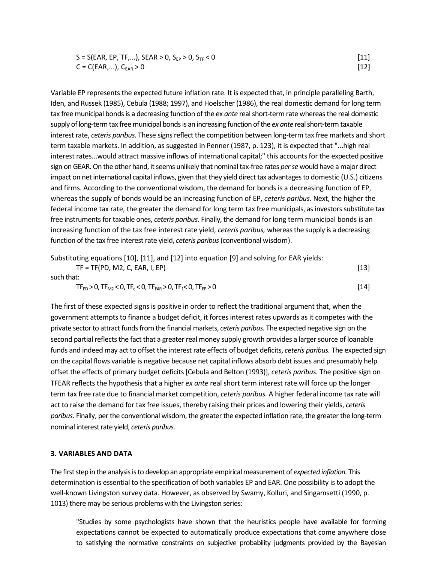| S = S(EAR, EP, TF,), SEAR > 0, S <sub>EP</sub> > 0, S <sub>TF</sub> < 0 | $[11]$ |
|-------------------------------------------------------------------------|--------|
| $C = C(EAR,), CEAR > 0$                                                 | $[12]$ |

Variable EP represents the expected future inflation rate. It is expected that, in principle paralleling Barth, Iden, and Russek (1985), Cebula (1988; 1997), and Hoelscher (1986), the real domestic demand for long term tax free municipal bonds is a decreasing function of the ex *ante* real short-term rate whereas the real domestic supply of long-term tax free municipal bonds is an increasing function of the *ex ante* real short-term taxable interest rate, *ceteris paribus.* These signs reflect the competition between long-term tax free markets and short term taxable markets. In addition, as suggested in Penner (1987, p. 123), it is expected that "...high real interest rates...would attract massive inflows of international capital;" this accounts for the expected positive sign on GEAR. On the other hand, it seems unlikely that nominal tax-free rates *per se* would have a major direct impact on net international capital inflows, given that they yield direct tax advantages to domestic (U.S.) citizens and firms. According to the conventional wisdom, the demand for bonds is a decreasing function of EP, whereas the supply of bonds would be an increasing function of EP, *ceteris paribus.* Next, the higher the federal income tax rate, the greater the demand for long term tax free municipals, as investors substitute tax free instruments for taxable ones, *ceteris paribus.* Finally, the demand for long term municipal bonds is an increasing function of the tax free interest rate yield, *ceteris paribus,* whereas the supply is a decreasing function of the tax free interest rate yield, *ceteris paribus* (conventional wisdom).

Substituting equations [10], [11], and [12] into equation [9] and solving for EAR yields:

| $TF = TF(PD, M2, C, EAR, I, EP)$                                                                                     | $[13]$ |
|----------------------------------------------------------------------------------------------------------------------|--------|
| such that:                                                                                                           |        |
| $TF_{\rm PD} > 0$ , $TF_{\rm M2} < 0$ , $TF_{\rm c} < 0$ , $TF_{\rm FAR} > 0$ , $TF_{\rm 1} < 0$ , $TF_{\rm EP} > 0$ | [14]   |

The first of these expected signs is positive in order to reflect the traditional argument that, when the government attempts to finance a budget deficit, it forces interest rates upwards as it competes with the private sector to attract funds from the financial markets, *ceteris paribus.* The expected negative sign on the second partial reflects the fact that a greater real money supply growth provides a larger source of loanable funds and indeed may act to offset the interest rate effects of budget deficits, *ceteris paribus.* The expected sign on the capital flows variable is negative because net capital inflows absorb debt issues and presumably help offset the effects of primary budget deficits [Cebula and Belton (1993)], *ceteris paribus.* The positive sign on TFEAR reflects the hypothesis that a higher *ex ante* real short term interest rate will force up the longer term tax free rate due to financial market competition, *ceteris paribus.* A higher federal income tax rate will act to raise the demand for tax free issues, thereby raising their prices and lowering their yields, *ceteris paribus.* Finally, per the conventional wisdom, the greater the expected inflation rate, the greater the long-term nominal interest rate yield, *ceteris paribus.*

#### **3. VARIABLES AND DATA**

The first step in the analysis is to develop an appropriate empirical measurement of *expected inflation.* This determination is essential to the specification of both variables EP and EAR. One possibility is to adopt the well-known Livingston survey data. However, as observed by Swamy, Kolluri, and Singamsetti (1990, p. 1013) there may be serious problems with the Livingston series:

"Studies by some psychologists have shown that the heuristics people have available for forming expectations cannot be expected to automatically produce expectations that come anywhere close to satisfying the normative constraints on subjective probability judgments provided by the Bayesian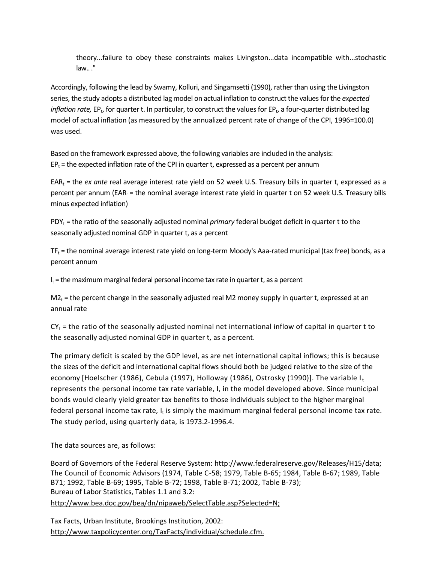theory...failure to obey these constraints makes Livingston...data incompatible with...stochastic law.. ."

Accordingly, following the lead by Swamy, Kolluri, and Singamsetti (1990), rather than using the Livingston series, the study adopts a distributed lag model on actual inflation to construct the values for the *expected inflation rate,* EP<sub>t</sub>, for quarter t. In particular, to construct the values for EP<sub>t</sub>, a four-quarter distributed lag model of actual inflation (as measured by the annualized percent rate of change of the CPI, 1996=100.0) was used.

Based on the framework expressed above, the following variables are included in the analysis:  $EP<sub>t</sub>$  = the expected inflation rate of the CPI in quarter t, expressed as a percent per annum

EAR<sub>t</sub> = the ex ante real average interest rate yield on 52 week U.S. Treasury bills in quarter t, expressed as a percent per annum (EAR = the nominal average interest rate yield in quarter t on 52 week U.S. Treasury bills minus expected inflation)

PDY<sub>t</sub> = the ratio of the seasonally adjusted nominal *primary* federal budget deficit in quarter t to the seasonally adjusted nominal GDP in quarter t, as a percent

 $TF_t$  = the nominal average interest rate yield on long-term Moody's Aaa-rated municipal (tax free) bonds, as a percent annum

 $I_t$  = the maximum marginal federal personal income tax rate in quarter t, as a percent

 $M2<sub>t</sub>$  = the percent change in the seasonally adjusted real M2 money supply in quarter t, expressed at an annual rate

 $CY_t$  = the ratio of the seasonally adjusted nominal net international inflow of capital in quarter t to the seasonally adjusted nominal GDP in quarter t, as a percent.

The primary deficit is scaled by the GDP level, as are net international capital inflows; this is because the sizes of the deficit and international capital flows should both be judged relative to the size of the economy [Hoelscher (1986), Cebula (1997), Holloway (1986), Ostrosky (1990)]. The variable  $I_t$ represents the personal income tax rate variable, I, in the model developed above. Since municipal bonds would clearly yield greater tax benefits to those individuals subject to the higher marginal federal personal income tax rate,  $I_t$  is simply the maximum marginal federal personal income tax rate. The study period, using quarterly data, is 1973.2-1996.4.

The data sources are, as follows:

Board of Governors of the Federal Reserve System:<http://www.federalreserve.gov/Releases/H15/data;> The Council of Economic Advisors (1974, Table C-58; 1979, Table B-65; 1984, Table B-67; 1989, Table B71; 1992, Table B-69; 1995, Table B-72; 1998, Table B-71; 2002, Table B-73); Bureau of Labor Statistics, Tables 1.1 and 3.2: http://www.bea.doc.gov/bea/dn/nipaweb/SelectTable.asp?Selected=N;

Tax Facts, Urban Institute, Brookings Institution, 2002: http://www.taxpolicycenter.orq/TaxFacts/individual/schedule.cfm.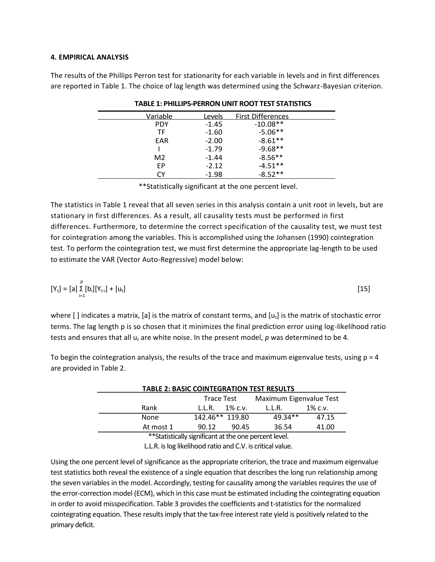#### **4. EMPIRICAL ANALYSIS**

The results of the Phillips Perron test for stationarity for each variable in levels and in first differences are reported in Table 1. The choice of lag length was determined using the Schwarz-Bayesian criterion.

| Variable       | Levels  | <b>First Differences</b> |  |
|----------------|---------|--------------------------|--|
| <b>PDY</b>     | $-1.45$ | $-10.08**$               |  |
| ТF             | $-1.60$ | $-5.06**$                |  |
| EAR            | $-2.00$ | $-8.61**$                |  |
|                | $-1.79$ | $-9.68**$                |  |
| M <sub>2</sub> | $-1.44$ | $-8.56**$                |  |
| EP             | $-2.12$ | $-4.51**$                |  |
| ΓY             | $-1.98$ | $-8.52**$                |  |

**TABLE 1: PHILLIPS-PERRON UNIT ROOT TEST STATISTICS** 

\*\*Statistically significant at the one percent level.

The statistics in Table 1 reveal that all seven series in this analysis contain a unit root in levels, but are stationary in first differences. As a result, all causality tests must be performed in first differences. Furthermore, to determine the correct specification of the causality test, we must test for cointegration among the variables. This is accomplished using the Johansen (1990) cointegration test. To perform the cointegration test, we must first determine the appropriate lag-length to be used to estimate the VAR (Vector Auto-Regressive) model below:

$$
[Y_t] = [a] \sum_{i=1}^{p} [b_i][Y_{t-i}] + [u_t]
$$
 (15)

where  $[$  ] indicates a matrix,  $[a]$  is the matrix of constant terms, and  $[u_t]$  is the matrix of stochastic error terms. The lag length p is so chosen that it minimizes the final prediction error using log-likelihood ratio tests and ensures that all u<sub>t</sub> are white noise. In the present model, *p* was determined to be 4.

| <b>TABLE 2: BASIC COINTEGRATION TEST RESULTS</b> |                 |                                       |           |            |
|--------------------------------------------------|-----------------|---------------------------------------|-----------|------------|
|                                                  |                 | Maximum Eigenvalue Test<br>Trace Test |           |            |
| Rank                                             | L.L.R.          | 1% $c.v.$                             | L.L.R.    | $1\%$ c.v. |
| <b>None</b>                                      | 142.46** 119.80 |                                       | $49.34**$ | 47.15      |
| At most 1                                        | 90.12           | 90.45                                 | 36.54     | 41.00      |

To begin the cointegration analysis, the results of the trace and maximum eigenvalue tests, using  $p = 4$ are provided in Table 2.

> \*\*Statistically significant at the one percent level. L.L.R. is log likelihood ratio and C.V. is critical value.

Using the one percent level of significance as the appropriate criterion, the trace and maximum eigenvalue test statistics both reveal the existence of a single equation that describes the long run relationship among the seven variables in the model. Accordingly, testing for causality among the variables requires the use of the error-correction model (ECM), which in this case must be estimated including the cointegrating equation in order to avoid misspecification. Table 3 provides the coefficients and t-statistics for the normalized cointegrating equation. These results imply that the tax-free interest rate yield is positively related to the primary deficit.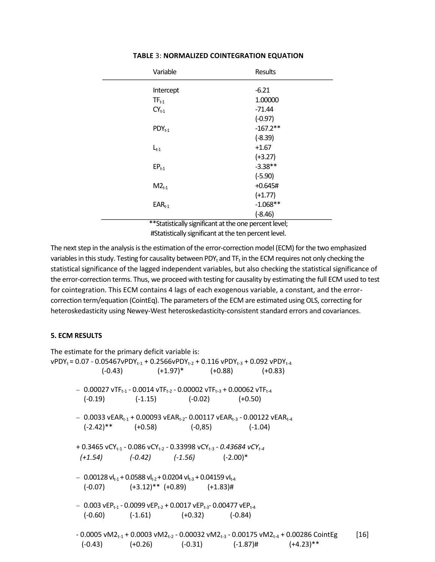| Variable             | Results                                                 |
|----------------------|---------------------------------------------------------|
| Intercept            | $-6.21$                                                 |
| $TF_{t-1}$           | 1.00000                                                 |
| $CY_{t-1}$           | $-71.44$                                                |
|                      | $(-0.97)$                                               |
| $PDY_{t-1}$          | $-167.2**$                                              |
|                      | $(-8.39)$                                               |
| $L_{t-1}$            | $+1.67$                                                 |
|                      | $(+3.27)$                                               |
| $EP_{t-1}$           | $-3.38**$                                               |
|                      | $(-5.90)$                                               |
| $M2_{t-1}$           | $+0.645#$                                               |
|                      | $(+1.77)$                                               |
| $EAR$ <sub>t-1</sub> | $-1.068**$                                              |
|                      | $(-8.46)$                                               |
|                      | $**C$ tatistically significant at the ane nexcent level |

#### **TABLE** 3: **NORMALIZED COINTEGRATION EQUATION**

\*\*Statistically significant at the one percent level; #Statistically significant at the ten percent level.

The next step in the analysis is the estimation of the error-correction model (ECM) for the two emphasized variables in this study. Testing for causality between PDY<sub>t</sub> and TF<sub>t</sub> in the ECM requires not only checking the statistical significance of the lagged independent variables, but also checking the statistical significance of the error-correction terms. Thus, we proceed with testing for causality by estimating the full ECM used to test for cointegration. This ECM contains 4 lags of each exogenous variable, a constant, and the errorcorrection term/equation (CointEq). The parameters of the ECM are estimated using OLS, correcting for heteroskedasticity using Newey-West heteroskedasticity-consistent standard errors and covariances.

## **5. ECM RESULTS**

The estimate for the primary deficit variable is: vPDY<sub>t</sub> = 0.07 - 0.05467vPDY<sub>t-1</sub> + 0.2566vPDY<sub>t-2</sub> + 0.116 vPDY<sub>t-3</sub> + 0.092 vPDY<sub>t-4</sub>  $(-0.43)$   $(+1.97)^*$   $(+0.88)$   $(+0.83)$  $-$  0.00027 vTF<sub>t-1</sub> - 0.0014 vTF<sub>t-2</sub> - 0.00002 vTF<sub>t-3</sub> + 0.00062 vTF<sub>t-4</sub>  $(-0.19)$   $(-1.15)$   $(-0.02)$   $(+0.50)$  $-0.0033$  vEAR<sub>t-1</sub> + 0.00093 vEAR<sub>t-2</sub>-0.00117 vEAR<sub>t-3</sub> - 0.00122 vEAR<sub>t-4</sub>  $(-2.42)$ <sup>\*\*</sup>  $(+0.58)$   $(-0.85)$   $(-1.04)$ + 0.3465 vCY<sub>t-1</sub> - 0.086 vCY<sub>t-2</sub> - 0.33998 vCY<sub>t-3</sub> - 0.43684 vCY<sub>t-4</sub>  *(+1.54) (-0.42) (-1.56)* (-2.00)\*  $-0.00128$  vl<sub>t-1</sub> + 0.0588 vl<sub>t-2</sub> + 0.0204 vl<sub>t-3</sub> + 0.04159 vl<sub>t-4</sub> (-0.07) (+3.12)\*\* (+0.89) (+1.83)#  $-0.003$  vEP<sub>t-1</sub> - 0.0099 vEP<sub>t-2</sub> + 0.0017 vEP<sub>t-3</sub>-0.00477 vEP<sub>t-4</sub> (-0.60) (-1.61) (+0.32) (-0.84) - 0.0005 vM2<sub>t-1</sub> + 0.0003 vM2<sub>t-2</sub> - 0.00032 vM2<sub>t-3</sub> - 0.00175 vM2<sub>t-4</sub> + 0.00286 CointEg [16]  $(-0.43)$   $(+0.26)$   $(-0.31)$   $(-1.87)$ #  $(+4.23)$ <sup>\*\*</sup>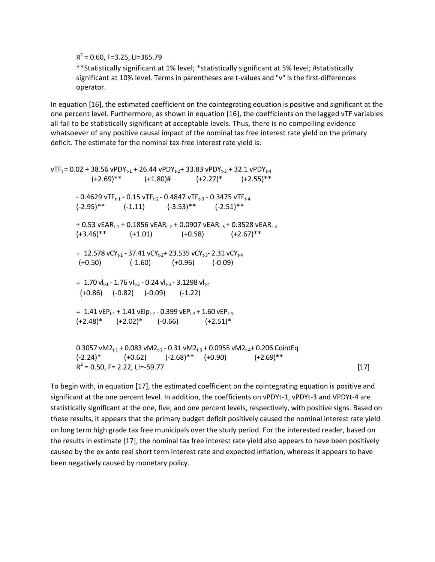$R^2 = 0.60$ , F=3.25, LI=365.79

\*\*Statistically significant at 1% level; \*statistically significant at 5% level; #statistically significant at 10% level. Terms in parentheses are t-values and "v" is the first-differences operator.

In equation [16], the estimated coefficient on the cointegrating equation is positive and significant at the one percent level. Furthermore, as shown in equation [16], the coefficients on the lagged vTF variables all fail to be statistically significant at acceptable levels. Thus, there is no compelling evidence whatsoever of any positive causal impact of the nominal tax free interest rate yield on the primary deficit. The estimate for the nominal tax-free interest rate yield is:

vTF<sub>t</sub> = 0.02 + 38.56 vPDY<sub>t-1</sub> + 26.44 vPDY<sub>t-2</sub>+ 33.83 vPDY<sub>t-3</sub> + 32.1 vPDY<sub>t-4</sub>  $(+2.69)$ <sup>\*\*</sup>  $(+1.80)$ #  $(+2.27)$ <sup>\*</sup>  $(+2.55)$ <sup>\*\*</sup> - 0.4629 vTF<sub>t-1</sub> - 0.15 vTF<sub>t-2</sub> - 0.4847 vTF<sub>t-3</sub> - 0.3475 vTF<sub>t-4</sub>  $(-2.95)$ <sup>\*\*</sup>  $(-1.11)$   $(-3.53)$ <sup>\*\*</sup>  $(-2.51)$ <sup>\*\*</sup> + 0.53 vEAR<sub>t-1</sub> + 0.1856 vEAR<sub>t-2</sub> + 0.0907 vEAR<sub>t-3</sub> + 0.3528 vEAR<sub>t-4</sub>  $(+3.46)$ <sup>\*\*</sup>  $(+1.01)$   $(+0.58)$   $(+2.67)$ <sup>\*\*</sup> + 12.578 vCY<sub>t-1</sub> - 37.41 vCY<sub>t-2</sub>+ 23.535 vCY<sub>t-3</sub>- 2.31 vCY<sub>t-4</sub> (+0.50) (-1.60) (+0.96) (-0.09) + 1.70 vl<sub>t-1</sub> - 1.76 vl<sub>t-2</sub> - 0.24 vl<sub>t-3</sub> - 3.1298 vl<sub>t-4</sub> (+0.86) (-0.82) (-0.09) (-1.22) + 1.41 vEP<sub>t-1</sub> + 1.41 vElp<sub>t-2</sub> - 0.399 vEP<sub>t-3</sub> + 1.60 vEP<sub>t-4</sub>  $(+2.48)^*$   $(+2.02)^*$   $(-0.66)$   $(+2.51)^*$ 0.3057 vM2<sub>t-1</sub> + 0.083 vM2<sub>t-2</sub> - 0.31 vM2<sub>t-3</sub> + 0.0955 vM2<sub>t-4</sub>+ 0.206 CointEq  $(-2.24)^*$   $(+0.62)$   $(-2.68)^{**}$   $(+0.90)$   $(+2.69)^{**}$  $R^2 = 0.50$ , F= 2.22, LI=-59.77 [17]

To begin with, in equation [17], the estimated coefficient on the cointegrating equation is positive and significant at the one percent level. In addition, the coefficients on vPDYt-1, vPDYt-3 and VPDYt-4 are statistically significant at the one, five, and one percent levels, respectively, with positive signs. Based on these results, it appears that the primary budget deficit positively caused the nominal interest rate yield on long term high grade tax free municipals over the study period. For the interested reader, based on the results in estimate [17], the nominal tax free interest rate yield also appears to have been positively caused by the ex ante real short term interest rate and expected inflation, whereas it appears to have been negatively caused by monetary policy.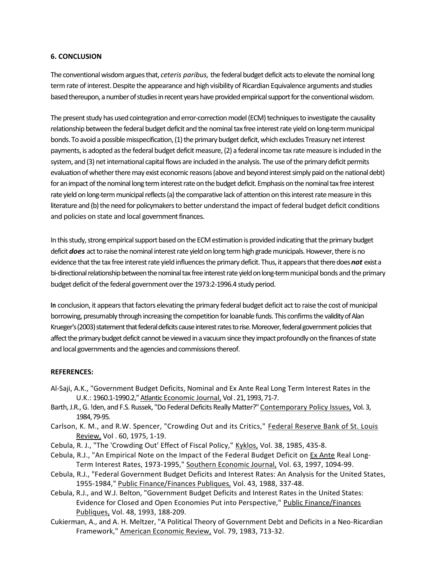## **6. CONCLUSION**

The conventional wisdom argues that, *ceteris paribus,* the federal budget deficit acts to elevate the nominal long term rate of interest. Despite the appearance and high visibility of Ricardian Equivalence arguments and studies based thereupon, a number of studies in recent years have provided empirical support for the conventional wisdom.

The present study has used cointegration and error-correction model (ECM) techniques to investigate the causality relationship between the federal budget deficit and the nominal tax free interest rate yield on long-term municipal bonds. To avoid a possible misspecification, (1) the primary budget deficit, which excludes Treasury net interest payments, is adopted as the federal budget deficit measure, (2) a federal income tax rate measure is included in the system, and (3) net international capital flows are included in the analysis. The use of the primary deficit permits evaluation of whether there may exist economic reasons (above and beyond interest simply paid on the national debt) for an impact of the nominal long term interest rate on the budget deficit. Emphasis on the nominal tax free interest rate yield on long-term municipal reflects (a) the comparative lack of attention on this interest rate measure in this literature and (b) the need for policymakers to better understand the impact of federal budget deficit conditions and policies on state and local government finances.

In this study, strong empirical support based on the ECM estimation is provided indicating that the primary budget deficit *does* act to raise the nominal interest rate yield on long term high grade municipals. However, there is no evidence that the tax free interest rate yield influences the primary deficit. Thus, it appears that there does *not* exist a bi-directional relationship between the nominal tax free interest rate yield on long-term municipal bonds and the primary budget deficit of the federal government over the 1973:2-1996.4 study period.

**In** conclusion, it appears that factors elevating the primary federal budget deficit act to raise the cost of municipal borrowing, presumably through increasing the competition for loanable funds. This confirms the validity of Alan Krueger's (2003) statement that federal deficits cause interest rates to rise. Moreover, federal government policies that affect the primary budget deficit cannot be viewed in a vacuum since they impact profoundly on the finances of state and local governments and the agencies and commissions thereof.

## **REFERENCES:**

- Al-Saji, A.K., "Government Budget Deficits, Nominal and Ex Ante Real Long Term Interest Rates in the U.K.: 1960.1-1990.2," Atlantic Economic Journal, Vol . 21, 1993, 71-7.
- Barth, J.R., G. !den, and F.S. Russek, "Do Federal Deficits Really Matter?" Contemporary Policy Issues, Vol. 3, 1984, 79-95.
- Carlson, K. M., and R.W. Spencer, "Crowding Out and its Critics," Federal Reserve Bank of St. Louis Review, Vol . 60, 1975, 1-19.
- Cebula, R. J., "The 'Crowding Out' Effect of Fiscal Policy," Kyklos, Vol. 38, 1985, 435-8.
- Cebula, R.J., "An Empirical Note on the Impact of the Federal Budget Deficit on Ex Ante Real Long-Term Interest Rates, 1973-1995," Southern Economic Journal, Vol. 63, 1997, 1094-99.
- Cebula, R.J., "Federal Government Budget Deficits and Interest Rates: An Analysis for the United States, 1955-1984," Public Finance/Finances Publiques, Vol. 43, 1988, 337-48.
- Cebula, R.J., and W.J. Belton, "Government Budget Deficits and Interest Rates in the United States: Evidence for Closed and Open Economies Put into Perspective," Public Finance/Finances Publiques, Vol. 48, 1993, 188-209.
- Cukierman, A., and A. H. Meltzer, "A Political Theory of Government Debt and Deficits in a Neo-Ricardian Framework," American Economic Review, Vol. 79, 1983, 713-32.